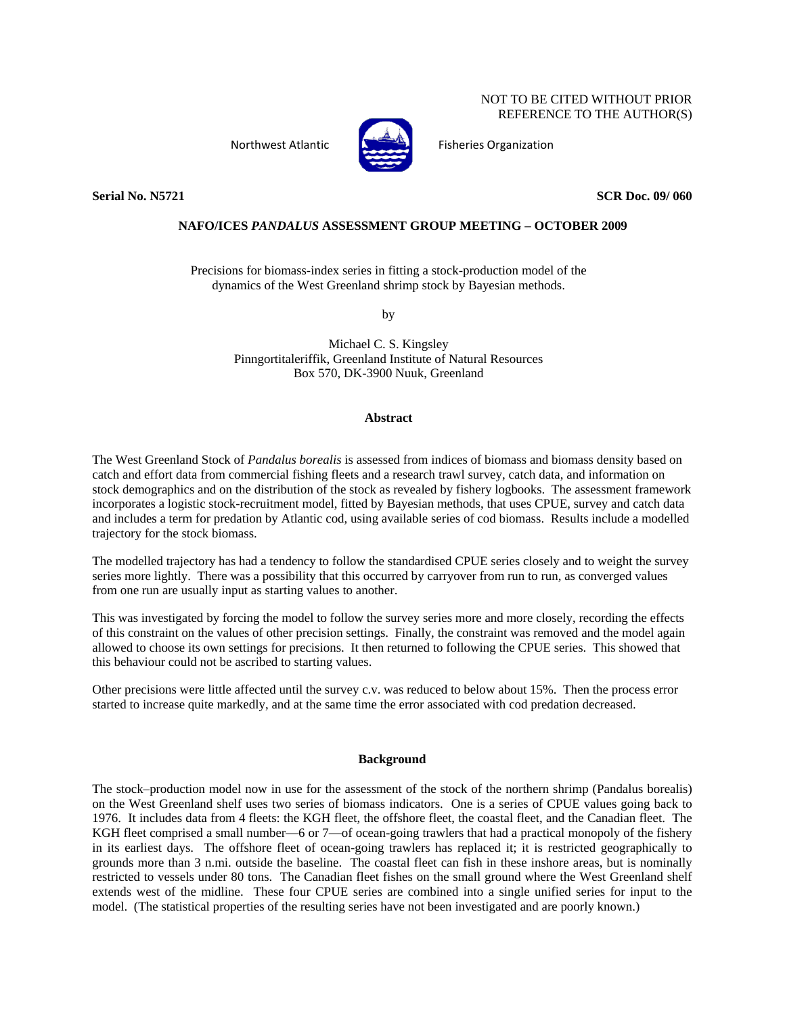# NOT TO BE CITED WITHOUT PRIOR REFERENCE TO THE AUTHOR(S)



Northwest Atlantic **Atlantic Fisheries Organization** 

**Serial No. N5721** SCR Doc. 09/060

# **NAFO/ICES** *PANDALUS* **ASSESSMENT GROUP MEETING – OCTOBER 2009**

Precisions for biomass-index series in fitting a stock-production model of the dynamics of the West Greenland shrimp stock by Bayesian methods.

by

Michael C. S. Kingsley Pinngortitaleriffik, Greenland Institute of Natural Resources Box 570, DK-3900 Nuuk, Greenland

### **Abstract**

The West Greenland Stock of *Pandalus borealis* is assessed from indices of biomass and biomass density based on catch and effort data from commercial fishing fleets and a research trawl survey, catch data, and information on stock demographics and on the distribution of the stock as revealed by fishery logbooks. The assessment framework incorporates a logistic stock-recruitment model, fitted by Bayesian methods, that uses CPUE, survey and catch data and includes a term for predation by Atlantic cod, using available series of cod biomass. Results include a modelled trajectory for the stock biomass.

The modelled trajectory has had a tendency to follow the standardised CPUE series closely and to weight the survey series more lightly. There was a possibility that this occurred by carryover from run to run, as converged values from one run are usually input as starting values to another.

This was investigated by forcing the model to follow the survey series more and more closely, recording the effects of this constraint on the values of other precision settings. Finally, the constraint was removed and the model again allowed to choose its own settings for precisions. It then returned to following the CPUE series. This showed that this behaviour could not be ascribed to starting values.

Other precisions were little affected until the survey c.v. was reduced to below about 15%. Then the process error started to increase quite markedly, and at the same time the error associated with cod predation decreased.

### **Background**

The stock–production model now in use for the assessment of the stock of the northern shrimp (Pandalus borealis) on the West Greenland shelf uses two series of biomass indicators. One is a series of CPUE values going back to 1976. It includes data from 4 fleets: the KGH fleet, the offshore fleet, the coastal fleet, and the Canadian fleet. The KGH fleet comprised a small number—6 or 7—of ocean-going trawlers that had a practical monopoly of the fishery in its earliest days. The offshore fleet of ocean-going trawlers has replaced it; it is restricted geographically to grounds more than 3 n.mi. outside the baseline. The coastal fleet can fish in these inshore areas, but is nominally restricted to vessels under 80 tons. The Canadian fleet fishes on the small ground where the West Greenland shelf extends west of the midline. These four CPUE series are combined into a single unified series for input to the model. (The statistical properties of the resulting series have not been investigated and are poorly known.)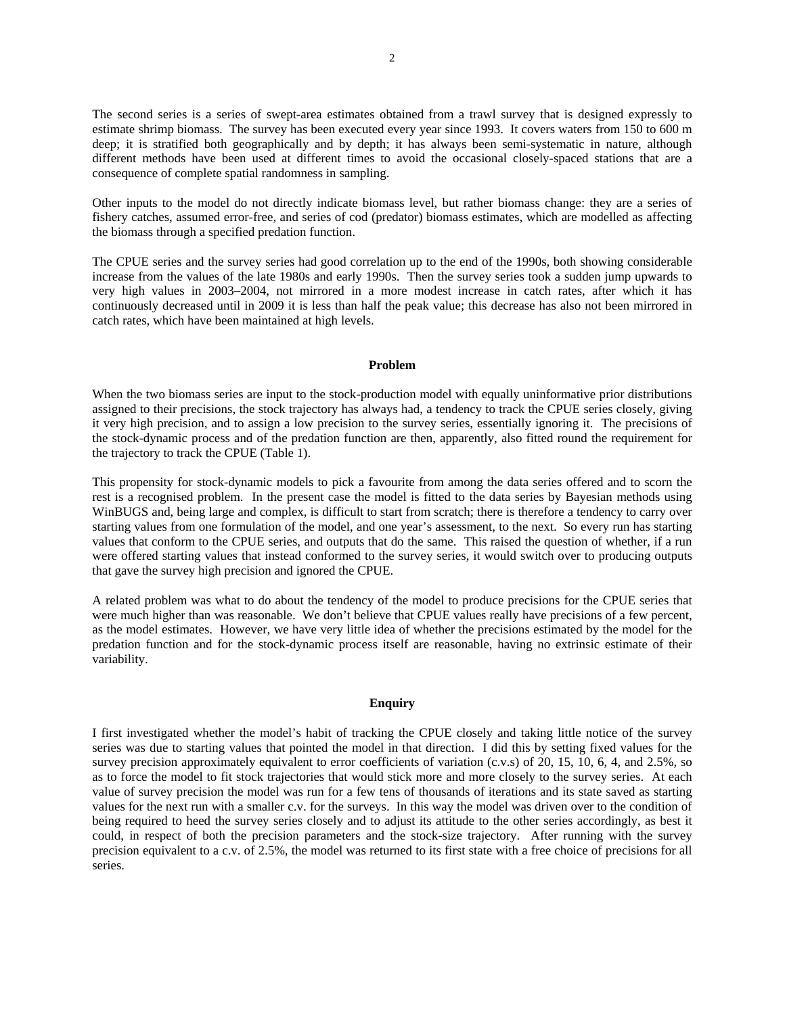The second series is a series of swept-area estimates obtained from a trawl survey that is designed expressly to estimate shrimp biomass. The survey has been executed every year since 1993. It covers waters from 150 to 600 m deep; it is stratified both geographically and by depth; it has always been semi-systematic in nature, although different methods have been used at different times to avoid the occasional closely-spaced stations that are a consequence of complete spatial randomness in sampling.

Other inputs to the model do not directly indicate biomass level, but rather biomass change: they are a series of fishery catches, assumed error-free, and series of cod (predator) biomass estimates, which are modelled as affecting the biomass through a specified predation function.

The CPUE series and the survey series had good correlation up to the end of the 1990s, both showing considerable increase from the values of the late 1980s and early 1990s. Then the survey series took a sudden jump upwards to very high values in 2003–2004, not mirrored in a more modest increase in catch rates, after which it has continuously decreased until in 2009 it is less than half the peak value; this decrease has also not been mirrored in catch rates, which have been maintained at high levels.

#### **Problem**

When the two biomass series are input to the stock-production model with equally uninformative prior distributions assigned to their precisions, the stock trajectory has always had, a tendency to track the CPUE series closely, giving it very high precision, and to assign a low precision to the survey series, essentially ignoring it. The precisions of the stock-dynamic process and of the predation function are then, apparently, also fitted round the requirement for the trajectory to track the CPUE (Table 1).

This propensity for stock-dynamic models to pick a favourite from among the data series offered and to scorn the rest is a recognised problem. In the present case the model is fitted to the data series by Bayesian methods using WinBUGS and, being large and complex, is difficult to start from scratch; there is therefore a tendency to carry over starting values from one formulation of the model, and one year's assessment, to the next. So every run has starting values that conform to the CPUE series, and outputs that do the same. This raised the question of whether, if a run were offered starting values that instead conformed to the survey series, it would switch over to producing outputs that gave the survey high precision and ignored the CPUE.

A related problem was what to do about the tendency of the model to produce precisions for the CPUE series that were much higher than was reasonable. We don't believe that CPUE values really have precisions of a few percent, as the model estimates. However, we have very little idea of whether the precisions estimated by the model for the predation function and for the stock-dynamic process itself are reasonable, having no extrinsic estimate of their variability.

# **Enquiry**

I first investigated whether the model's habit of tracking the CPUE closely and taking little notice of the survey series was due to starting values that pointed the model in that direction. I did this by setting fixed values for the survey precision approximately equivalent to error coefficients of variation (c.v.s) of 20, 15, 10, 6, 4, and 2.5%, so as to force the model to fit stock trajectories that would stick more and more closely to the survey series. At each value of survey precision the model was run for a few tens of thousands of iterations and its state saved as starting values for the next run with a smaller c.v. for the surveys. In this way the model was driven over to the condition of being required to heed the survey series closely and to adjust its attitude to the other series accordingly, as best it could, in respect of both the precision parameters and the stock-size trajectory. After running with the survey precision equivalent to a c.v. of 2.5%, the model was returned to its first state with a free choice of precisions for all series.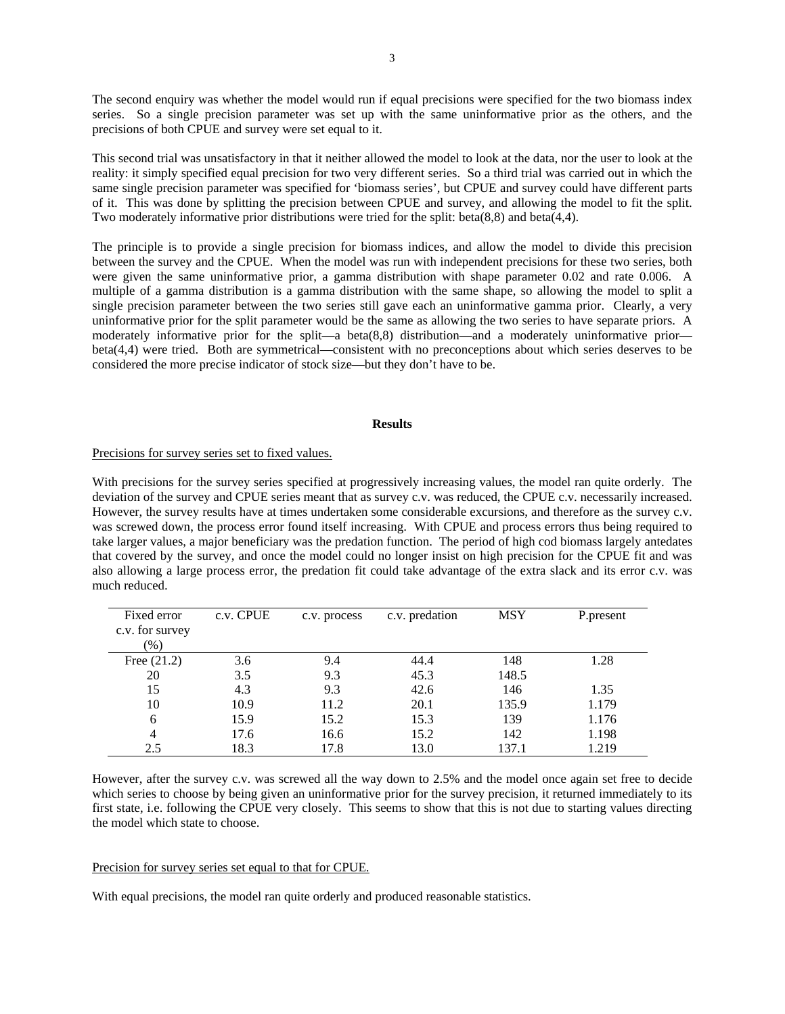The second enquiry was whether the model would run if equal precisions were specified for the two biomass index series. So a single precision parameter was set up with the same uninformative prior as the others, and the precisions of both CPUE and survey were set equal to it.

This second trial was unsatisfactory in that it neither allowed the model to look at the data, nor the user to look at the reality: it simply specified equal precision for two very different series. So a third trial was carried out in which the same single precision parameter was specified for 'biomass series', but CPUE and survey could have different parts of it. This was done by splitting the precision between CPUE and survey, and allowing the model to fit the split. Two moderately informative prior distributions were tried for the split: beta(8,8) and beta(4,4).

The principle is to provide a single precision for biomass indices, and allow the model to divide this precision between the survey and the CPUE. When the model was run with independent precisions for these two series, both were given the same uninformative prior, a gamma distribution with shape parameter 0.02 and rate 0.006. A multiple of a gamma distribution is a gamma distribution with the same shape, so allowing the model to split a single precision parameter between the two series still gave each an uninformative gamma prior. Clearly, a very uninformative prior for the split parameter would be the same as allowing the two series to have separate priors. A moderately informative prior for the split—a beta(8,8) distribution—and a moderately uninformative prior beta(4,4) were tried. Both are symmetrical—consistent with no preconceptions about which series deserves to be considered the more precise indicator of stock size—but they don't have to be.

# **Results**

#### Precisions for survey series set to fixed values.

With precisions for the survey series specified at progressively increasing values, the model ran quite orderly. The deviation of the survey and CPUE series meant that as survey c.v. was reduced, the CPUE c.v. necessarily increased. However, the survey results have at times undertaken some considerable excursions, and therefore as the survey c.v. was screwed down, the process error found itself increasing. With CPUE and process errors thus being required to take larger values, a major beneficiary was the predation function. The period of high cod biomass largely antedates that covered by the survey, and once the model could no longer insist on high precision for the CPUE fit and was also allowing a large process error, the predation fit could take advantage of the extra slack and its error c.v. was much reduced.

| Fixed error<br>c.v. for survey<br>$(\%)$ | c.v. CPUE | c.v. process | c.v. predation | <b>MSY</b> | P.present |
|------------------------------------------|-----------|--------------|----------------|------------|-----------|
| Free $(21.2)$                            | 3.6       | 9.4          | 44.4           | 148        | 1.28      |
| 20                                       | 3.5       | 9.3          | 45.3           | 148.5      |           |
| 15                                       | 4.3       | 9.3          | 42.6           | 146        | 1.35      |
| 10                                       | 10.9      | 11.2         | 20.1           | 135.9      | 1.179     |
| 6                                        | 15.9      | 15.2         | 15.3           | 139        | 1.176     |
| $\overline{4}$                           | 17.6      | 16.6         | 15.2           | 142        | 1.198     |
| 2.5                                      | 18.3      | 17.8         | 13.0           | 137.1      | 1.219     |

However, after the survey c.v. was screwed all the way down to 2.5% and the model once again set free to decide which series to choose by being given an uninformative prior for the survey precision, it returned immediately to its first state, i.e. following the CPUE very closely. This seems to show that this is not due to starting values directing the model which state to choose.

#### Precision for survey series set equal to that for CPUE.

With equal precisions, the model ran quite orderly and produced reasonable statistics.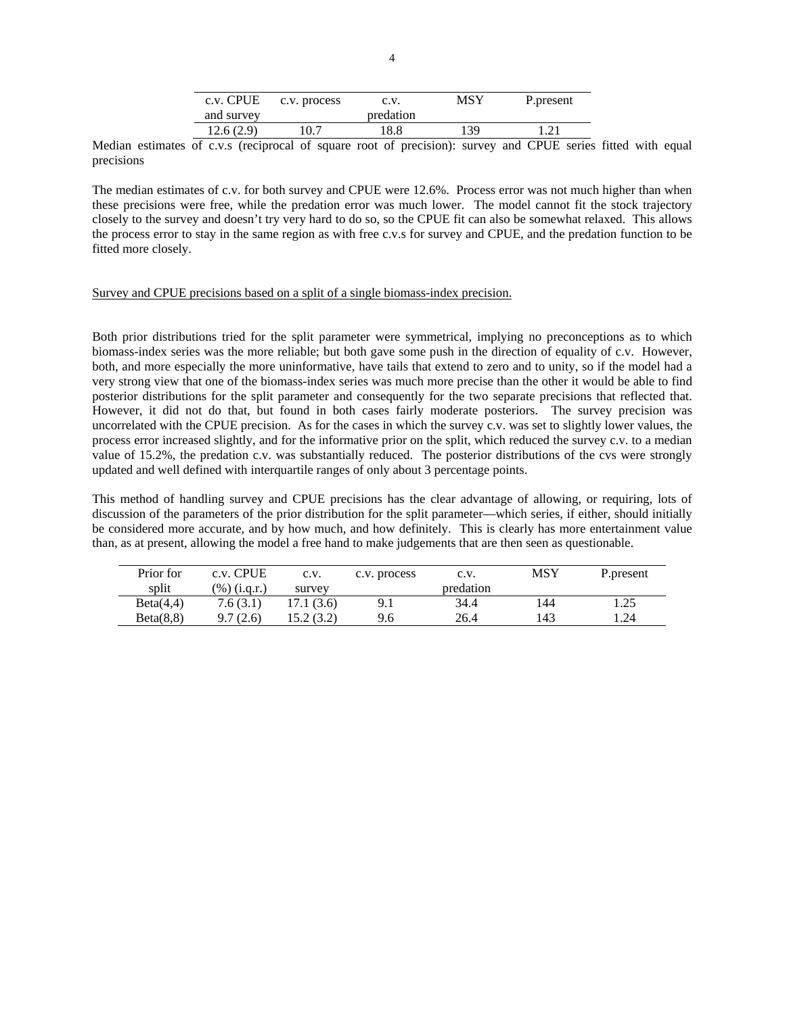| c.v. CPUE  | c.v. process | C.V.      | MSY | P.present |
|------------|--------------|-----------|-----|-----------|
| and survey |              | predation |     |           |
| 12.6(2.9)  | 10.7         | 18.8      | 139 |           |

Median estimates of c.v.s (reciprocal of square root of precision): survey and CPUE series fitted with equal precisions

The median estimates of c.v. for both survey and CPUE were 12.6%. Process error was not much higher than when these precisions were free, while the predation error was much lower. The model cannot fit the stock trajectory closely to the survey and doesn't try very hard to do so, so the CPUE fit can also be somewhat relaxed. This allows the process error to stay in the same region as with free c.v.s for survey and CPUE, and the predation function to be fitted more closely.

### Survey and CPUE precisions based on a split of a single biomass-index precision.

Both prior distributions tried for the split parameter were symmetrical, implying no preconceptions as to which biomass-index series was the more reliable; but both gave some push in the direction of equality of c.v. However, both, and more especially the more uninformative, have tails that extend to zero and to unity, so if the model had a very strong view that one of the biomass-index series was much more precise than the other it would be able to find posterior distributions for the split parameter and consequently for the two separate precisions that reflected that. However, it did not do that, but found in both cases fairly moderate posteriors. The survey precision was uncorrelated with the CPUE precision. As for the cases in which the survey c.v. was set to slightly lower values, the process error increased slightly, and for the informative prior on the split, which reduced the survey c.v. to a median value of 15.2%, the predation c.v. was substantially reduced. The posterior distributions of the cvs were strongly updated and well defined with interquartile ranges of only about 3 percentage points.

This method of handling survey and CPUE precisions has the clear advantage of allowing, or requiring, lots of discussion of the parameters of the prior distribution for the split parameter—which series, if either, should initially be considered more accurate, and by how much, and how definitely. This is clearly has more entertainment value than, as at present, allowing the model a free hand to make judgements that are then seen as questionable.

| Prior for | c.v. CPUE    | c.v.       | c.v. process | C.V.      | MSY | P.present |
|-----------|--------------|------------|--------------|-----------|-----|-----------|
| split     | (%) (i.g.r.) | survey     |              | predation |     |           |
| Beta(4,4) | 7.6(3.1)     | 17.1 (3.6) | 9.1          | 34.4      | 144 | 1.25      |
| Beta(8,8) | 9.7(2.6)     | 15.2(3.2)  | 9.6          | 26.4      | 143 | 1.24      |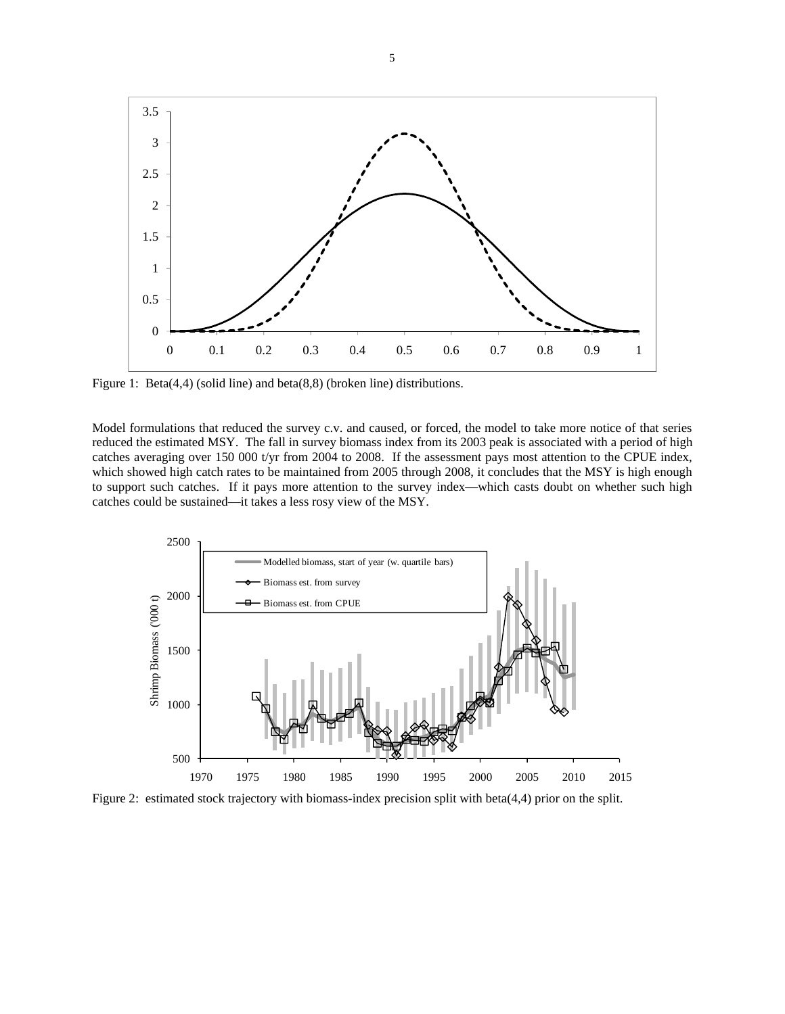

Figure 1: Beta(4,4) (solid line) and beta(8,8) (broken line) distributions.

Model formulations that reduced the survey c.v. and caused, or forced, the model to take more notice of that series reduced the estimated MSY. The fall in survey biomass index from its 2003 peak is associated with a period of high catches averaging over 150 000 t/yr from 2004 to 2008. If the assessment pays most attention to the CPUE index, which showed high catch rates to be maintained from 2005 through 2008, it concludes that the MSY is high enough to support such catches. If it pays more attention to the survey index—which casts doubt on whether such high catches could be sustained—it takes a less rosy view of the MSY.



Figure 2: estimated stock trajectory with biomass-index precision split with beta(4,4) prior on the split.